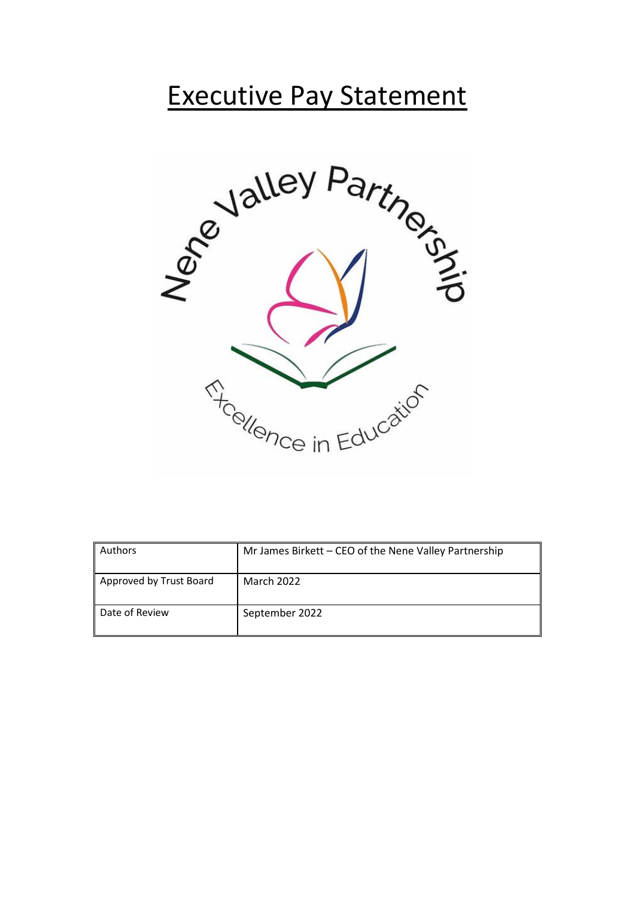## Executive Pay Statement



| Authors                 | Mr James Birkett - CEO of the Nene Valley Partnership |
|-------------------------|-------------------------------------------------------|
| Approved by Trust Board | March 2022                                            |
| Date of Review          | September 2022                                        |